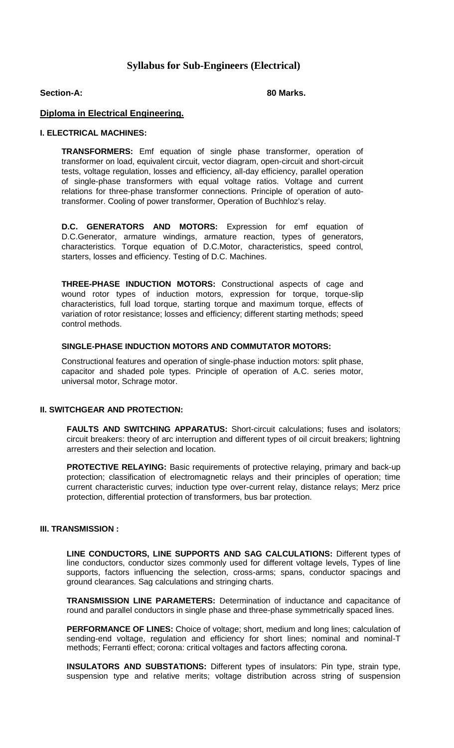# **Syllabus for Sub-Engineers (Electrical)**

#### **Section-A: 80 Marks.**

## **Diploma in Electrical Engineering.**

#### **I. ELECTRICAL MACHINES:**

**TRANSFORMERS:** Emf equation of single phase transformer, operation of transformer on load, equivalent circuit, vector diagram, open-circuit and short-circuit tests, voltage regulation, losses and efficiency, all-day efficiency, parallel operation of single-phase transformers with equal voltage ratios. Voltage and current relations for three-phase transformer connections. Principle of operation of autotransformer. Cooling of power transformer, Operation of Buchhloz's relay.

**D.C. GENERATORS AND MOTORS:** Expression for emf equation of D.C.Generator, armature windings, armature reaction, types of generators, characteristics. Torque equation of D.C.Motor, characteristics, speed control, starters, losses and efficiency. Testing of D.C. Machines.

**THREE-PHASE INDUCTION MOTORS:** Constructional aspects of cage and wound rotor types of induction motors, expression for torque, torque-slip characteristics, full load torque, starting torque and maximum torque, effects of variation of rotor resistance; losses and efficiency; different starting methods; speed control methods.

## **SINGLE-PHASE INDUCTION MOTORS AND COMMUTATOR MOTORS:**

Constructional features and operation of single-phase induction motors: split phase, capacitor and shaded pole types. Principle of operation of A.C. series motor, universal motor, Schrage motor.

## **II. SWITCHGEAR AND PROTECTION:**

**FAULTS AND SWITCHING APPARATUS:** Short-circuit calculations; fuses and isolators; circuit breakers: theory of arc interruption and different types of oil circuit breakers; lightning arresters and their selection and location.

**PROTECTIVE RELAYING:** Basic requirements of protective relaying, primary and back-up protection; classification of electromagnetic relays and their principles of operation; time current characteristic curves; induction type over-current relay, distance relays; Merz price protection, differential protection of transformers, bus bar protection.

#### **III. TRANSMISSION :**

**LINE CONDUCTORS, LINE SUPPORTS AND SAG CALCULATIONS:** Different types of line conductors, conductor sizes commonly used for different voltage levels, Types of line supports, factors influencing the selection, cross-arms; spans, conductor spacings and ground clearances. Sag calculations and stringing charts.

**TRANSMISSION LINE PARAMETERS:** Determination of inductance and capacitance of round and parallel conductors in single phase and three-phase symmetrically spaced lines.

**PERFORMANCE OF LINES:** Choice of voltage; short, medium and long lines; calculation of sending-end voltage, regulation and efficiency for short lines; nominal and nominal-T methods; Ferranti effect; corona: critical voltages and factors affecting corona.

**INSULATORS AND SUBSTATIONS:** Different types of insulators: Pin type, strain type, suspension type and relative merits; voltage distribution across string of suspension